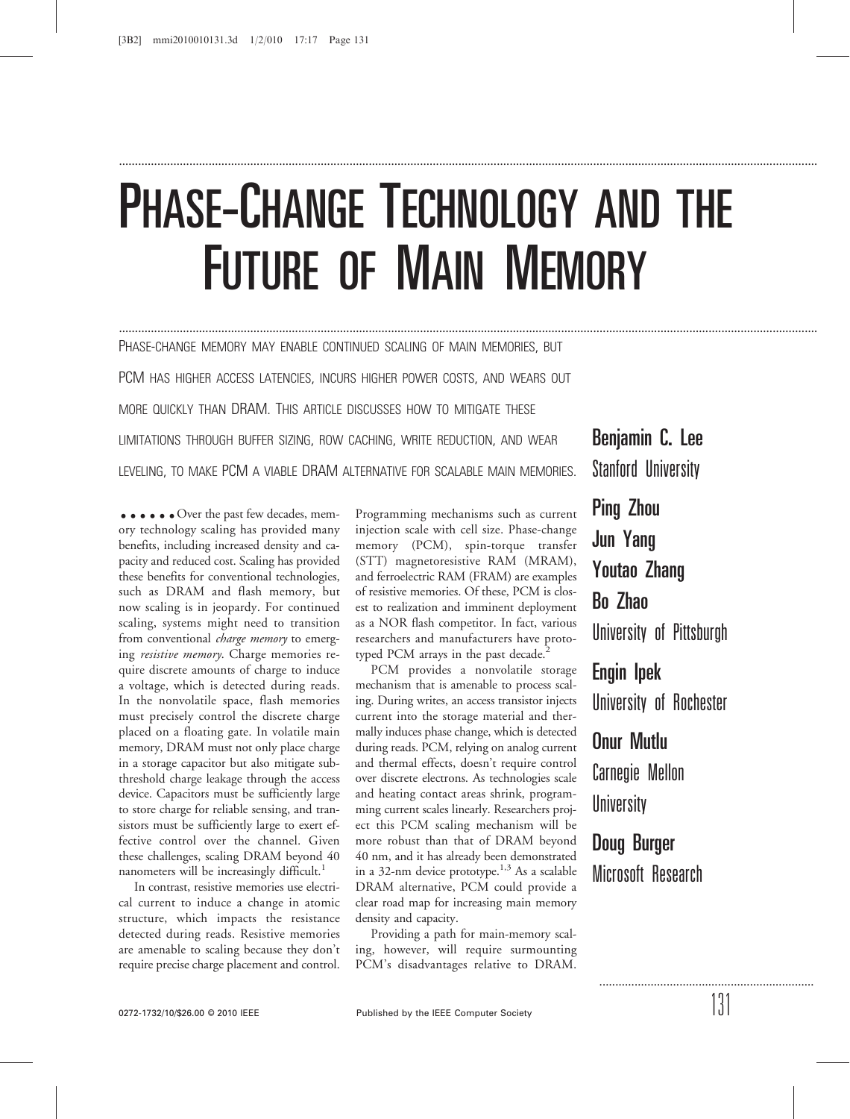# PHASE-CHANGE TECHNOLOGY AND THE FUTURE OF MAIN MEMORY

..........................................................................................................................................................................................................................

..........................................................................................................................................................................................................................

PHASE-CHANGE MEMORY MAY ENABLE CONTINUED SCALING OF MAIN MEMORIES, BUT PCM HAS HIGHER ACCESS LATENCIES, INCURS HIGHER POWER COSTS, AND WEARS OUT MORE QUICKLY THAN DRAM. THIS ARTICLE DISCUSSES HOW TO MITIGATE THESE LIMITATIONS THROUGH BUFFER SIZING, ROW CACHING, WRITE REDUCTION, AND WEAR LEVELING, TO MAKE PCM A VIABLE DRAM ALTERNATIVE FOR SCALABLE MAIN MEMORIES.

 $\bullet \bullet \bullet \bullet \bullet$  Over the past few decades, memory technology scaling has provided many benefits, including increased density and capacity and reduced cost. Scaling has provided these benefits for conventional technologies, such as DRAM and flash memory, but now scaling is in jeopardy. For continued scaling, systems might need to transition from conventional *charge memory* to emerging resistive memory. Charge memories require discrete amounts of charge to induce a voltage, which is detected during reads. In the nonvolatile space, flash memories must precisely control the discrete charge placed on a floating gate. In volatile main memory, DRAM must not only place charge in a storage capacitor but also mitigate subthreshold charge leakage through the access device. Capacitors must be sufficiently large to store charge for reliable sensing, and transistors must be sufficiently large to exert effective control over the channel. Given these challenges, scaling DRAM beyond 40 nanometers will be increasingly difficult.<sup>1</sup>

In contrast, resistive memories use electrical current to induce a change in atomic structure, which impacts the resistance detected during reads. Resistive memories are amenable to scaling because they don't require precise charge placement and control.

Programming mechanisms such as current injection scale with cell size. Phase-change memory (PCM), spin-torque transfer (STT) magnetoresistive RAM (MRAM), and ferroelectric RAM (FRAM) are examples of resistive memories. Of these, PCM is closest to realization and imminent deployment as a NOR flash competitor. In fact, various researchers and manufacturers have prototyped PCM arrays in the past decade.<sup>2</sup>

PCM provides a nonvolatile storage mechanism that is amenable to process scaling. During writes, an access transistor injects current into the storage material and thermally induces phase change, which is detected during reads. PCM, relying on analog current and thermal effects, doesn't require control over discrete electrons. As technologies scale and heating contact areas shrink, programming current scales linearly. Researchers project this PCM scaling mechanism will be more robust than that of DRAM beyond 40 nm, and it has already been demonstrated in a 32-nm device prototype.<sup>1,3</sup> As a scalable DRAM alternative, PCM could provide a clear road map for increasing main memory density and capacity.

Providing a path for main-memory scaling, however, will require surmounting PCM's disadvantages relative to DRAM.

Benjamin C. Lee Stanford University

Ping Zhou Jun Yang Youtao Zhang Bo Zhao University of Pittsburgh Engin Ipek University of Rochester Onur Mutlu Carnegie Mellon **University** Doug Burger

Microsoft Research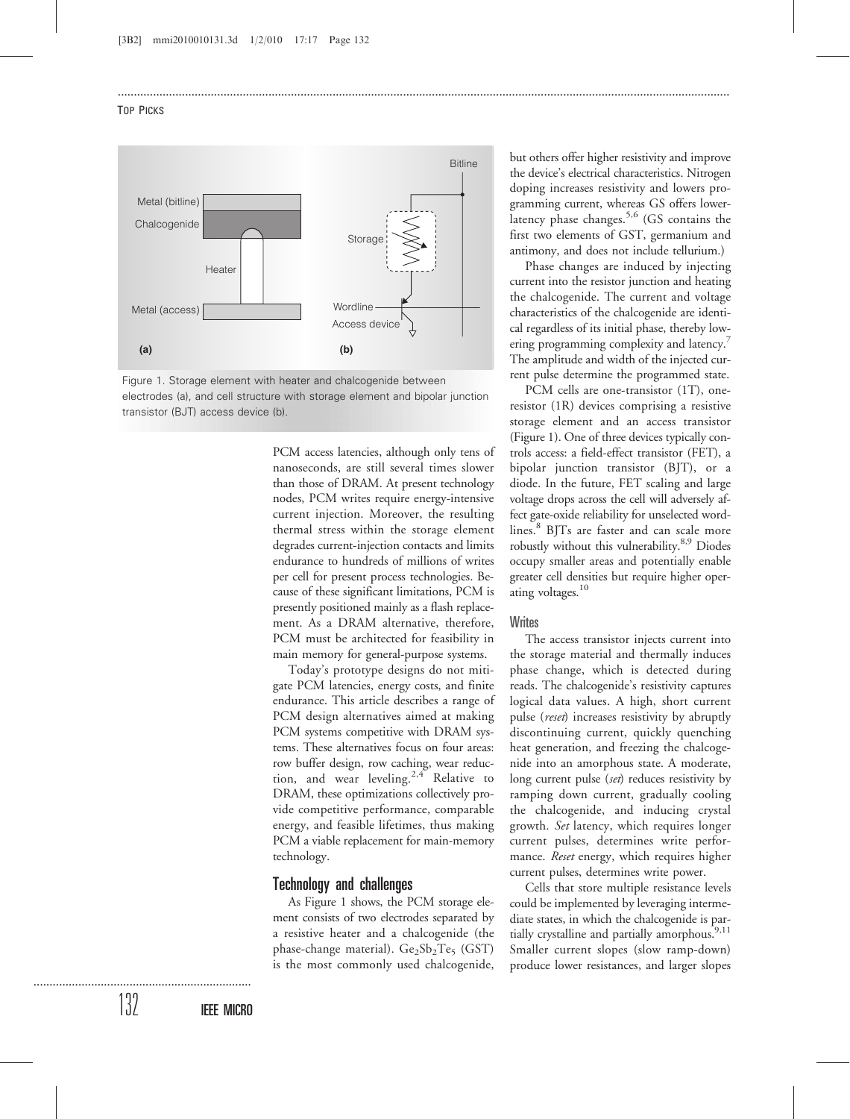#### TOP PICKS





PCM access latencies, although only tens of nanoseconds, are still several times slower than those of DRAM. At present technology nodes, PCM writes require energy-intensive current injection. Moreover, the resulting thermal stress within the storage element degrades current-injection contacts and limits endurance to hundreds of millions of writes per cell for present process technologies. Because of these significant limitations, PCM is presently positioned mainly as a flash replacement. As a DRAM alternative, therefore, PCM must be architected for feasibility in main memory for general-purpose systems.

...............................................................................................................................................................................................

Today's prototype designs do not mitigate PCM latencies, energy costs, and finite endurance. This article describes a range of PCM design alternatives aimed at making PCM systems competitive with DRAM systems. These alternatives focus on four areas: row buffer design, row caching, wear reduction, and wear leveling.<sup>2,4</sup> Relative to DRAM, these optimizations collectively provide competitive performance, comparable energy, and feasible lifetimes, thus making PCM a viable replacement for main-memory technology.

## Technology and challenges

As Figure 1 shows, the PCM storage element consists of two electrodes separated by a resistive heater and a chalcogenide (the phase-change material).  $Ge_2Sb_2Te_5$  (GST) is the most commonly used chalcogenide,

but others offer higher resistivity and improve the device's electrical characteristics. Nitrogen doping increases resistivity and lowers programming current, whereas GS offers lowerlatency phase changes.<sup>5,6</sup> (GS contains the first two elements of GST, germanium and antimony, and does not include tellurium.)

Phase changes are induced by injecting current into the resistor junction and heating the chalcogenide. The current and voltage characteristics of the chalcogenide are identical regardless of its initial phase, thereby lowering programming complexity and latency.<sup>7</sup> The amplitude and width of the injected current pulse determine the programmed state.

PCM cells are one-transistor (1T), oneresistor (1R) devices comprising a resistive storage element and an access transistor (Figure 1). One of three devices typically controls access: a field-effect transistor (FET), a bipolar junction transistor (BJT), or a diode. In the future, FET scaling and large voltage drops across the cell will adversely affect gate-oxide reliability for unselected wordlines.<sup>8</sup> BJTs are faster and can scale more robustly without this vulnerability.<sup>8,9</sup> Diodes occupy smaller areas and potentially enable greater cell densities but require higher operating voltages.<sup>10</sup>

#### **Writes**

The access transistor injects current into the storage material and thermally induces phase change, which is detected during reads. The chalcogenide's resistivity captures logical data values. A high, short current pulse (*reset*) increases resistivity by abruptly discontinuing current, quickly quenching heat generation, and freezing the chalcogenide into an amorphous state. A moderate, long current pulse (set) reduces resistivity by ramping down current, gradually cooling the chalcogenide, and inducing crystal growth. Set latency, which requires longer current pulses, determines write performance. Reset energy, which requires higher current pulses, determines write power.

Cells that store multiple resistance levels could be implemented by leveraging intermediate states, in which the chalcogenide is partially crystalline and partially amorphous.<sup>9,11</sup> Smaller current slopes (slow ramp-down) produce lower resistances, and larger slopes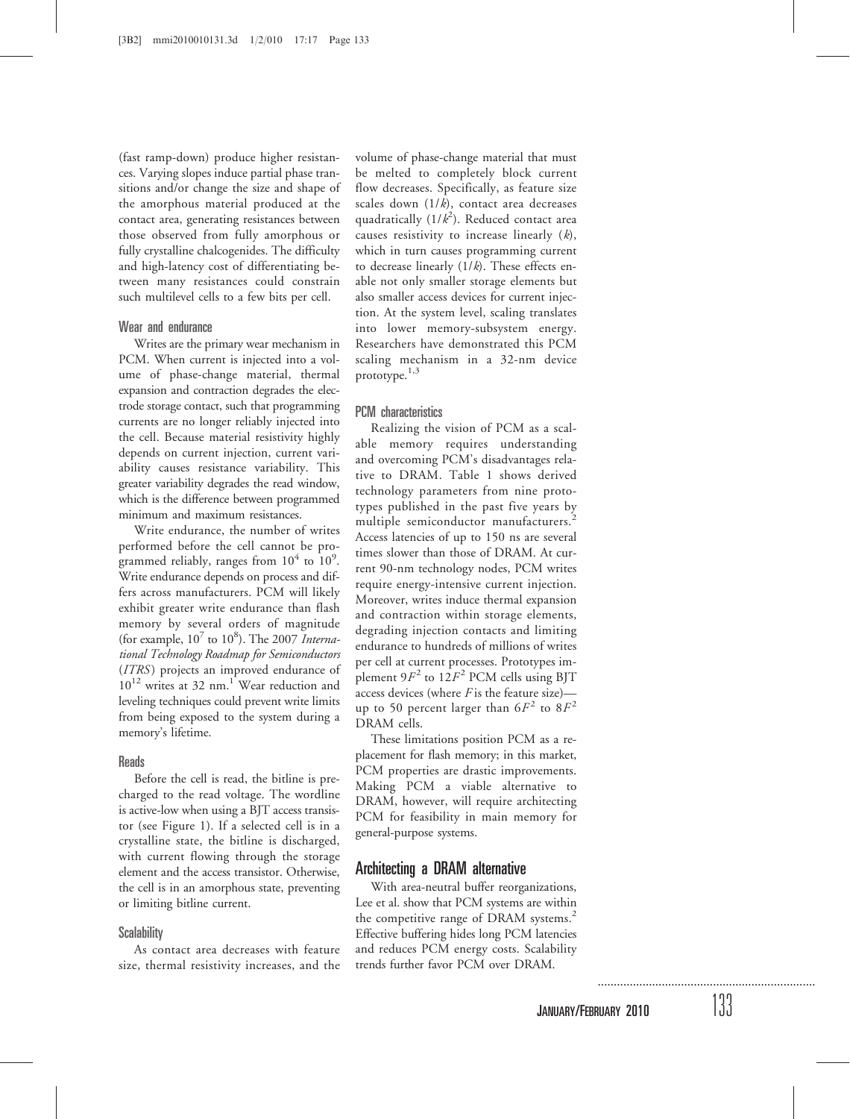(fast ramp-down) produce higher resistances. Varying slopes induce partial phase transitions and/or change the size and shape of the amorphous material produced at the contact area, generating resistances between those observed from fully amorphous or fully crystalline chalcogenides. The difficulty and high-latency cost of differentiating between many resistances could constrain such multilevel cells to a few bits per cell.

## Wear and endurance

Writes are the primary wear mechanism in PCM. When current is injected into a volume of phase-change material, thermal expansion and contraction degrades the electrode storage contact, such that programming currents are no longer reliably injected into the cell. Because material resistivity highly depends on current injection, current variability causes resistance variability. This greater variability degrades the read window, which is the difference between programmed minimum and maximum resistances.

Write endurance, the number of writes performed before the cell cannot be programmed reliably, ranges from  $10^4$  to  $10^9$ . Write endurance depends on process and differs across manufacturers. PCM will likely exhibit greater write endurance than flash memory by several orders of magnitude (for example,  $10^7$  to  $10^8$ ). The 2007 International Technology Roadmap for Semiconductors (ITRS) projects an improved endurance of  $10^{12}$  writes at 32 nm.<sup>1</sup> Wear reduction and leveling techniques could prevent write limits from being exposed to the system during a memory's lifetime.

# **Reads**

Before the cell is read, the bitline is precharged to the read voltage. The wordline is active-low when using a BJT access transistor (see Figure 1). If a selected cell is in a crystalline state, the bitline is discharged, with current flowing through the storage element and the access transistor. Otherwise, the cell is in an amorphous state, preventing or limiting bitline current.

#### **Scalability**

As contact area decreases with feature size, thermal resistivity increases, and the volume of phase-change material that must be melted to completely block current flow decreases. Specifically, as feature size scales down  $(1/k)$ , contact area decreases quadratically  $(1/k^2)$ . Reduced contact area causes resistivity to increase linearly  $(k)$ , which in turn causes programming current to decrease linearly  $(1/k)$ . These effects enable not only smaller storage elements but also smaller access devices for current injection. At the system level, scaling translates into lower memory-subsystem energy. Researchers have demonstrated this PCM scaling mechanism in a 32-nm device prototype. $1,3$ 

## PCM characteristics

Realizing the vision of PCM as a scalable memory requires understanding and overcoming PCM's disadvantages relative to DRAM. Table 1 shows derived technology parameters from nine prototypes published in the past five years by multiple semiconductor manufacturers.<sup>2</sup> Access latencies of up to 150 ns are several times slower than those of DRAM. At current 90-nm technology nodes, PCM writes require energy-intensive current injection. Moreover, writes induce thermal expansion and contraction within storage elements, degrading injection contacts and limiting endurance to hundreds of millions of writes per cell at current processes. Prototypes implement  $9F^2$  to  $12F^2$  PCM cells using BJT access devices (where  $F$  is the feature size)up to 50 percent larger than  $6F^2$  to  $8F^2$ DRAM cells.

These limitations position PCM as a replacement for flash memory; in this market, PCM properties are drastic improvements. Making PCM a viable alternative to DRAM, however, will require architecting PCM for feasibility in main memory for general-purpose systems.

# Architecting a DRAM alternative

With area-neutral buffer reorganizations, Lee et al. show that PCM systems are within the competitive range of DRAM systems.<sup>2</sup> Effective buffering hides long PCM latencies and reduces PCM energy costs. Scalability trends further favor PCM over DRAM.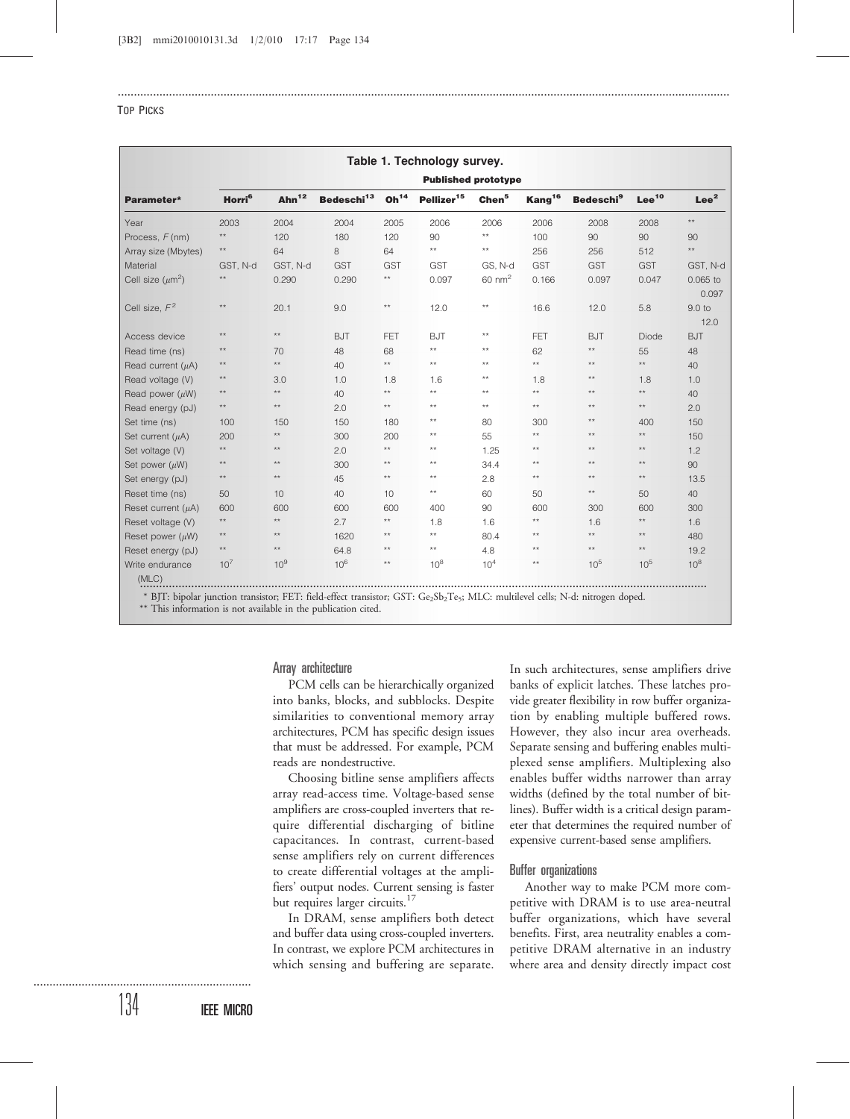|                         | Table 1. Technology survey.<br><b>Published prototype</b> |                 |                        |                  |                        |                   |                    |                             |                   |                     |
|-------------------------|-----------------------------------------------------------|-----------------|------------------------|------------------|------------------------|-------------------|--------------------|-----------------------------|-------------------|---------------------|
| Parameter*              |                                                           |                 |                        |                  |                        |                   |                    |                             |                   |                     |
|                         | Horri <sup>6</sup>                                        | Ahn $12$        | Bedeschi <sup>13</sup> | Oh <sup>14</sup> | Pellizer <sup>15</sup> | Chen <sup>5</sup> | Kang <sup>16</sup> | <b>Bedeschi<sup>9</sup></b> | Lee <sup>10</sup> | Lee <sup>2</sup>    |
| Year                    | 2003                                                      | 2004            | 2004                   | 2005             | 2006                   | 2006              | 2006               | 2008                        | 2008              | $\star\star$        |
| Process, F(nm)          | $\star\star$                                              | 120             | 180                    | 120              | 90                     | $\star\star$      | 100                | 90                          | 90                | 90                  |
| Array size (Mbytes)     | $^{\star\star}$                                           | 64              | 8                      | 64               | $^{\star\star}$        | $^{\star\star}$   | 256                | 256                         | 512               | $\star\star$        |
| Material                | GST, N-d                                                  | GST, N-d        | <b>GST</b>             | <b>GST</b>       | <b>GST</b>             | GS, N-d           | <b>GST</b>         | <b>GST</b>                  | <b>GST</b>        | GST, N-d            |
| Cell size $(\mu m^2)$   | $\star\star$                                              | 0.290           | 0.290                  | $^{\star\star}$  | 0.097                  | $60 \text{ nm}^2$ | 0.166              | 0.097                       | 0.047             | $0.065$ to<br>0.097 |
| Cell size, $F^2$        | $^{\star\star}$                                           | 20.1            | 9.0                    | $\star\star$     | 12.0                   | $**$              | 16.6               | 12.0                        | 5.8               | 9.0 to<br>12.0      |
| Access device           | $**$                                                      | $\star\star$    | <b>BJT</b>             | FET              | <b>BJT</b>             | $**$              | <b>FET</b>         | <b>BJT</b>                  | <b>Diode</b>      | <b>BJT</b>          |
| Read time (ns)          | $**$                                                      | 70              | 48                     | 68               | $**$                   | $**$              | 62                 | $**$                        | 55                | 48                  |
| Read current $(\mu A)$  | $\star\star$                                              | $\star\star$    | 40                     | $**$             | $\star\star$           | $**$              | $\star\star$       | $\star\star$                | $\star\star$      | 40                  |
| Read voltage (V)        | $**$                                                      | 3.0             | 1.0                    | 1.8              | 1.6                    | $**$              | 1.8                | $**$                        | 1.8               | 1.0                 |
| Read power $(\mu W)$    | $^{\star\star}$                                           | $\star\star$    | 40                     | $**$             | $\star\star$           | $**$              | $\star\star$       | $**$                        | $\star\star$      | 40                  |
| Read energy (pJ)        | $**$                                                      | $**$            | 2.0                    | $**$             | $\star\star$           | $**$              | $**$               | $**$                        | $\star\star$      | 2.0                 |
| Set time (ns)           | 100                                                       | 150             | 150                    | 180              | $\star\star$           | 80                | 300                | $**$                        | 400               | 150                 |
| Set current $(\mu A)$   | 200                                                       | $\star\star$    | 300                    | 200              | $\star\star$           | 55                | $**$               | $**$                        | $\star\star$      | 150                 |
| Set voltage (V)         | $\star\star$                                              | $\star\star$    | 2.0                    | $**$             | $\star\star$           | 1.25              | $**$               | $**$                        | $\star\star$      | 1.2                 |
| Set power $(\mu W)$     | $\star\star$                                              | $\star\star$    | 300                    | $**$             | $\star\star$           | 34.4              | $**$               | $\star\star$                | $^{\star\star}$   | 90                  |
| Set energy (pJ)         | $\star\star$                                              | $**$            | 45                     | $**$             | $**$                   | 2.8               | $**$               | $**$                        | $\star\star$      | 13.5                |
| Reset time (ns)         | 50                                                        | 10 <sup>1</sup> | 40                     | 10               | $\star\star$           | 60                | 50                 | $**$                        | 50                | 40                  |
| Reset current $(\mu A)$ | 600                                                       | 600             | 600                    | 600              | 400                    | 90                | 600                | 300                         | 600               | 300                 |
| Reset voltage (V)       | $\star\star$                                              | $\star\star$    | 2.7                    | $**$             | 1.8                    | 1.6               | $\star\star$       | 1.6                         | $\star\star$      | 1.6                 |
| Reset power $(\mu W)$   | $\star\star$                                              | $\star\star$    | 1620                   | $**$             | $**$                   | 80.4              | $**$               | $\star\star$                | $\star\star$      | 480                 |
| Reset energy (pJ)       | $\star\star$                                              | $\star\star$    | 64.8                   | $**$             | $^{\star\star}$        | 4.8               | $**$               | $\star\star$                | $\star\star$      | 19.2                |
| Write endurance         | 10 <sup>7</sup>                                           | 10 <sup>9</sup> | 10 <sup>6</sup>        | $**$             | $10^{8}$               | 10 <sup>4</sup>   | $**$               | $10^{5}$                    | $10^{5}$          | 10 <sup>8</sup>     |
| (MLC)                   |                                                           |                 |                        |                  |                        |                   |                    |                             |                   |                     |

...............................................................................................................................................................................................

................................................................................................................................................................................. \* BJT: bipolar junction transistor; FET: field-effect transistor; GST: Ge<sub>2</sub>Sb<sub>2</sub>Te<sub>5</sub>; MLC: multilevel cells; N-d: nitrogen doped.

\*\* This information is not available in the publication cited.

Array architecture

PCM cells can be hierarchically organized into banks, blocks, and subblocks. Despite similarities to conventional memory array architectures, PCM has specific design issues that must be addressed. For example, PCM reads are nondestructive.

Choosing bitline sense amplifiers affects array read-access time. Voltage-based sense amplifiers are cross-coupled inverters that require differential discharging of bitline capacitances. In contrast, current-based sense amplifiers rely on current differences to create differential voltages at the amplifiers' output nodes. Current sensing is faster but requires larger circuits.<sup>17</sup>

In DRAM, sense amplifiers both detect and buffer data using cross-coupled inverters. In contrast, we explore PCM architectures in which sensing and buffering are separate.

In such architectures, sense amplifiers drive banks of explicit latches. These latches provide greater flexibility in row buffer organization by enabling multiple buffered rows. However, they also incur area overheads. Separate sensing and buffering enables multiplexed sense amplifiers. Multiplexing also enables buffer widths narrower than array widths (defined by the total number of bitlines). Buffer width is a critical design parameter that determines the required number of expensive current-based sense amplifiers.

# Buffer organizations

Another way to make PCM more competitive with DRAM is to use area-neutral buffer organizations, which have several benefits. First, area neutrality enables a competitive DRAM alternative in an industry where area and density directly impact cost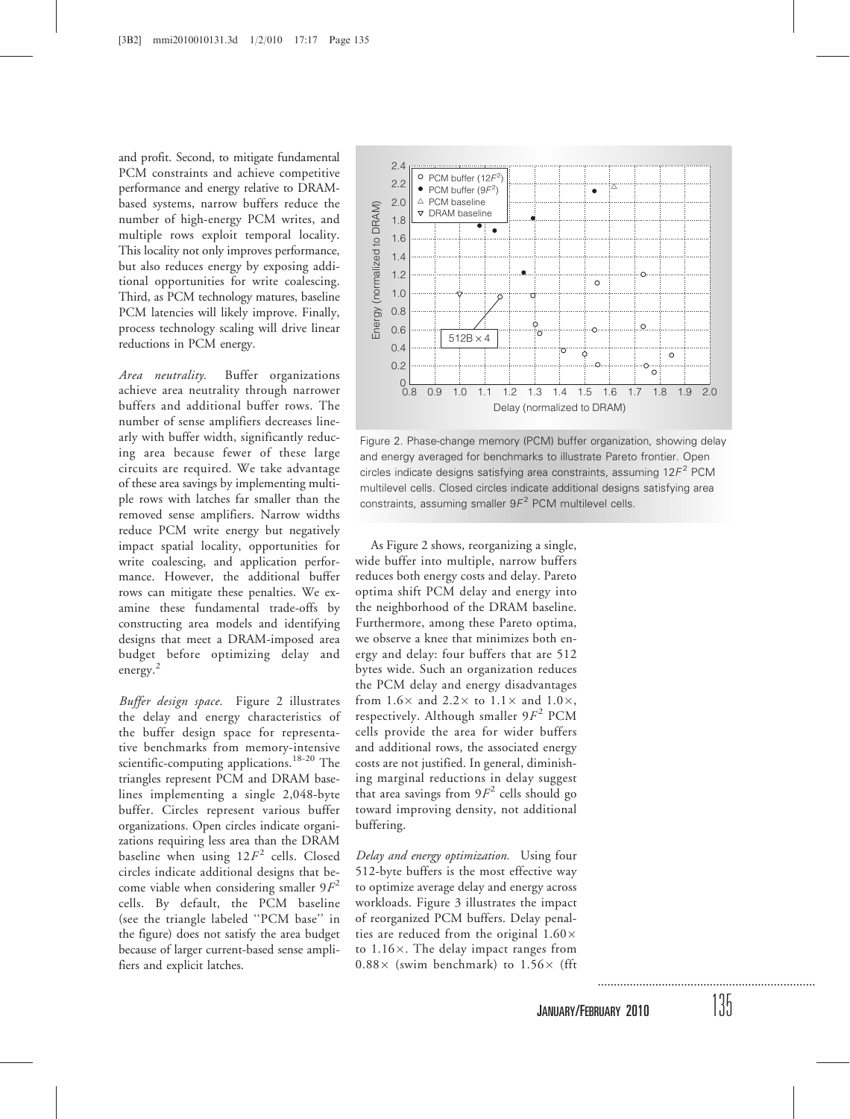and profit. Second, to mitigate fundamental PCM constraints and achieve competitive performance and energy relative to DRAMbased systems, narrow buffers reduce the number of high-energy PCM writes, and multiple rows exploit temporal locality. This locality not only improves performance, but also reduces energy by exposing additional opportunities for write coalescing. Third, as PCM technology matures, baseline PCM latencies will likely improve. Finally, process technology scaling will drive linear reductions in PCM energy.

Area neutrality. Buffer organizations achieve area neutrality through narrower buffers and additional buffer rows. The number of sense amplifiers decreases linearly with buffer width, significantly reducing area because fewer of these large circuits are required. We take advantage of these area savings by implementing multiple rows with latches far smaller than the removed sense amplifiers. Narrow widths reduce PCM write energy but negatively impact spatial locality, opportunities for write coalescing, and application performance. However, the additional buffer rows can mitigate these penalties. We examine these fundamental trade-offs by constructing area models and identifying designs that meet a DRAM-imposed area budget before optimizing delay and energy.<sup>2</sup>

Buffer design space. Figure 2 illustrates the delay and energy characteristics of the buffer design space for representative benchmarks from memory-intensive scientific-computing applications.<sup>18-20</sup> The triangles represent PCM and DRAM baselines implementing a single 2,048-byte buffer. Circles represent various buffer organizations. Open circles indicate organizations requiring less area than the DRAM baseline when using  $12F^2$  cells. Closed circles indicate additional designs that become viable when considering smaller  $9F<sup>2</sup>$ cells. By default, the PCM baseline (see the triangle labeled ''PCM base'' in the figure) does not satisfy the area budget because of larger current-based sense amplifiers and explicit latches.



Figure 2. Phase-change memory (PCM) buffer organization, showing delay and energy averaged for benchmarks to illustrate Pareto frontier. Open circles indicate designs satisfying area constraints, assuming  $12F<sup>2</sup>$  PCM multilevel cells. Closed circles indicate additional designs satisfying area constraints, assuming smaller  $9F<sup>2</sup>$  PCM multilevel cells.

As Figure 2 shows, reorganizing a single, wide buffer into multiple, narrow buffers reduces both energy costs and delay. Pareto optima shift PCM delay and energy into the neighborhood of the DRAM baseline. Furthermore, among these Pareto optima, we observe a knee that minimizes both energy and delay: four buffers that are 512 bytes wide. Such an organization reduces the PCM delay and energy disadvantages from  $1.6 \times$  and  $2.2 \times$  to  $1.1 \times$  and  $1.0 \times$ , respectively. Although smaller  $9F<sup>2</sup>$  PCM cells provide the area for wider buffers and additional rows, the associated energy costs are not justified. In general, diminishing marginal reductions in delay suggest that area savings from  $9F^2$  cells should go toward improving density, not additional buffering.

Delay and energy optimization. Using four 512-byte buffers is the most effective way to optimize average delay and energy across workloads. Figure 3 illustrates the impact of reorganized PCM buffers. Delay penalties are reduced from the original  $1.60\times$ to  $1.16\times$ . The delay impact ranges from  $0.88 \times$  (swim benchmark) to  $1.56 \times$  (fft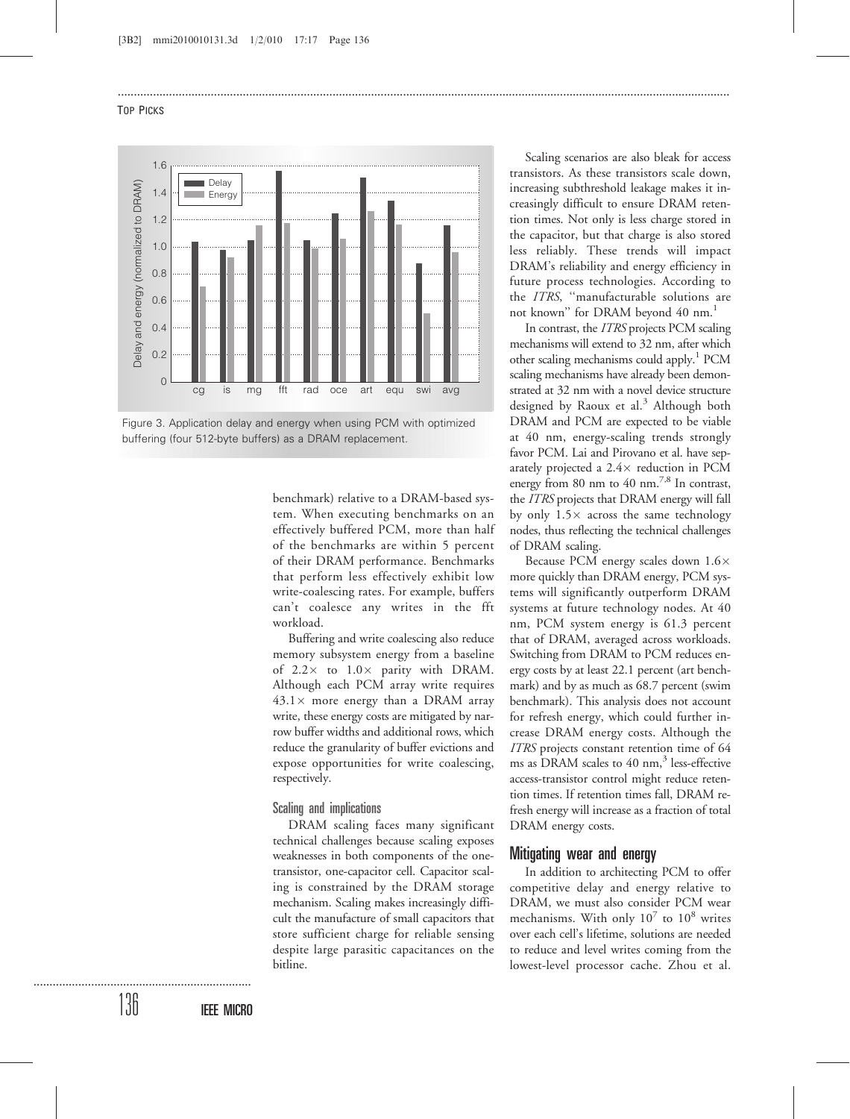

Figure 3. Application delay and energy when using PCM with optimized buffering (four 512-byte buffers) as a DRAM replacement.

benchmark) relative to a DRAM-based system. When executing benchmarks on an effectively buffered PCM, more than half of the benchmarks are within 5 percent of their DRAM performance. Benchmarks that perform less effectively exhibit low write-coalescing rates. For example, buffers can't coalesce any writes in the fft workload.

...............................................................................................................................................................................................

Buffering and write coalescing also reduce memory subsystem energy from a baseline of  $2.2 \times$  to  $1.0 \times$  parity with DRAM. Although each PCM array write requires  $43.1\times$  more energy than a DRAM array write, these energy costs are mitigated by narrow buffer widths and additional rows, which reduce the granularity of buffer evictions and expose opportunities for write coalescing, respectively.

## Scaling and implications

DRAM scaling faces many significant technical challenges because scaling exposes weaknesses in both components of the onetransistor, one-capacitor cell. Capacitor scaling is constrained by the DRAM storage mechanism. Scaling makes increasingly difficult the manufacture of small capacitors that store sufficient charge for reliable sensing despite large parasitic capacitances on the bitline.

Scaling scenarios are also bleak for access transistors. As these transistors scale down, increasing subthreshold leakage makes it increasingly difficult to ensure DRAM retention times. Not only is less charge stored in the capacitor, but that charge is also stored less reliably. These trends will impact DRAM's reliability and energy efficiency in future process technologies. According to the ITRS, ''manufacturable solutions are not known" for DRAM beyond 40 nm.<sup>1</sup>

In contrast, the ITRS projects PCM scaling mechanisms will extend to 32 nm, after which other scaling mechanisms could apply.<sup>1</sup> PCM scaling mechanisms have already been demonstrated at 32 nm with a novel device structure designed by Raoux et al.<sup>3</sup> Although both DRAM and PCM are expected to be viable at 40 nm, energy-scaling trends strongly favor PCM. Lai and Pirovano et al. have separately projected a  $2.4 \times$  reduction in PCM energy from 80 nm to 40 nm.<sup>7,8</sup> In contrast, the ITRS projects that DRAM energy will fall by only  $1.5\times$  across the same technology nodes, thus reflecting the technical challenges of DRAM scaling.

Because PCM energy scales down 1.6 more quickly than DRAM energy, PCM systems will significantly outperform DRAM systems at future technology nodes. At 40 nm, PCM system energy is 61.3 percent that of DRAM, averaged across workloads. Switching from DRAM to PCM reduces energy costs by at least 22.1 percent (art benchmark) and by as much as 68.7 percent (swim benchmark). This analysis does not account for refresh energy, which could further increase DRAM energy costs. Although the ITRS projects constant retention time of 64 ms as DRAM scales to 40 nm, $3$  less-effective access-transistor control might reduce retention times. If retention times fall, DRAM refresh energy will increase as a fraction of total DRAM energy costs.

## Mitigating wear and energy

In addition to architecting PCM to offer competitive delay and energy relative to DRAM, we must also consider PCM wear mechanisms. With only  $10^7$  to  $10^8$  writes over each cell's lifetime, solutions are needed to reduce and level writes coming from the lowest-level processor cache. Zhou et al.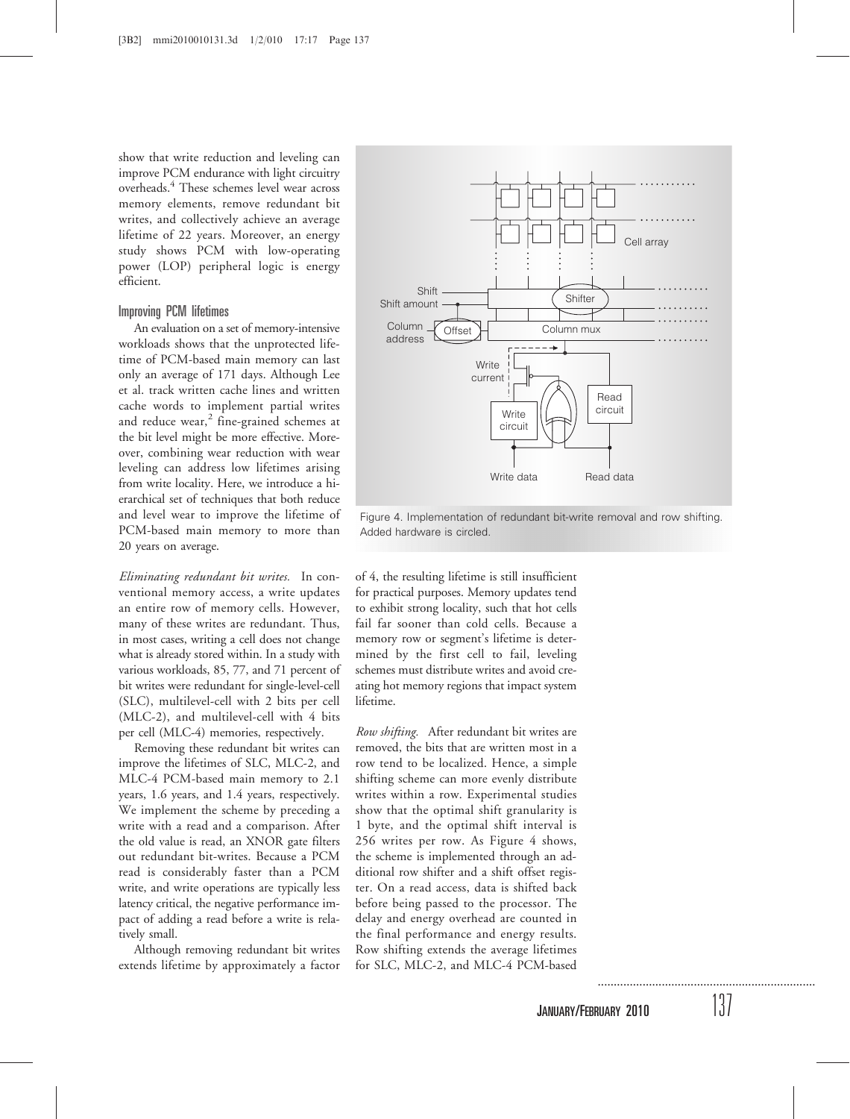show that write reduction and leveling can improve PCM endurance with light circuitry overheads.4 These schemes level wear across memory elements, remove redundant bit writes, and collectively achieve an average lifetime of 22 years. Moreover, an energy study shows PCM with low-operating power (LOP) peripheral logic is energy efficient.

# Improving PCM lifetimes

An evaluation on a set of memory-intensive workloads shows that the unprotected lifetime of PCM-based main memory can last only an average of 171 days. Although Lee et al. track written cache lines and written cache words to implement partial writes and reduce wear, $^{2}$  fine-grained schemes at the bit level might be more effective. Moreover, combining wear reduction with wear leveling can address low lifetimes arising from write locality. Here, we introduce a hierarchical set of techniques that both reduce and level wear to improve the lifetime of PCM-based main memory to more than 20 years on average.

Eliminating redundant bit writes. In conventional memory access, a write updates an entire row of memory cells. However, many of these writes are redundant. Thus, in most cases, writing a cell does not change what is already stored within. In a study with various workloads, 85, 77, and 71 percent of bit writes were redundant for single-level-cell (SLC), multilevel-cell with 2 bits per cell (MLC-2), and multilevel-cell with 4 bits per cell (MLC-4) memories, respectively.

Removing these redundant bit writes can improve the lifetimes of SLC, MLC-2, and MLC-4 PCM-based main memory to 2.1 years, 1.6 years, and 1.4 years, respectively. We implement the scheme by preceding a write with a read and a comparison. After the old value is read, an XNOR gate filters out redundant bit-writes. Because a PCM read is considerably faster than a PCM write, and write operations are typically less latency critical, the negative performance impact of adding a read before a write is relatively small.

Although removing redundant bit writes extends lifetime by approximately a factor



Figure 4. Implementation of redundant bit-write removal and row shifting. Added hardware is circled.

of 4, the resulting lifetime is still insufficient for practical purposes. Memory updates tend to exhibit strong locality, such that hot cells fail far sooner than cold cells. Because a memory row or segment's lifetime is determined by the first cell to fail, leveling schemes must distribute writes and avoid creating hot memory regions that impact system lifetime.

Row shifting. After redundant bit writes are removed, the bits that are written most in a row tend to be localized. Hence, a simple shifting scheme can more evenly distribute writes within a row. Experimental studies show that the optimal shift granularity is 1 byte, and the optimal shift interval is 256 writes per row. As Figure 4 shows, the scheme is implemented through an additional row shifter and a shift offset register. On a read access, data is shifted back before being passed to the processor. The delay and energy overhead are counted in the final performance and energy results. Row shifting extends the average lifetimes for SLC, MLC-2, and MLC-4 PCM-based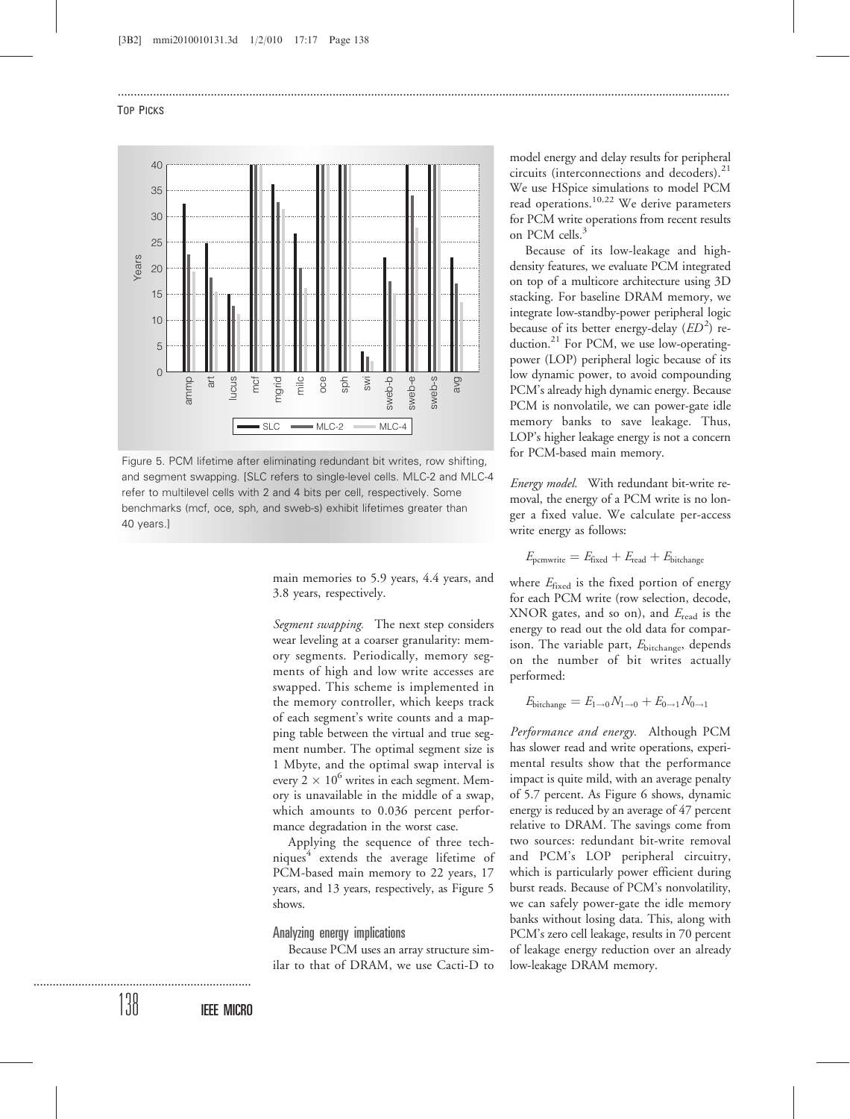

Figure 5. PCM lifetime after eliminating redundant bit writes, row shifting, and segment swapping. [SLC refers to single-level cells. MLC-2 and MLC-4 refer to multilevel cells with 2 and 4 bits per cell, respectively. Some benchmarks (mcf, oce, sph, and sweb-s) exhibit lifetimes greater than 40 years.]

main memories to 5.9 years, 4.4 years, and 3.8 years, respectively.

...............................................................................................................................................................................................

Segment swapping. The next step considers wear leveling at a coarser granularity: memory segments. Periodically, memory segments of high and low write accesses are swapped. This scheme is implemented in the memory controller, which keeps track of each segment's write counts and a mapping table between the virtual and true segment number. The optimal segment size is 1 Mbyte, and the optimal swap interval is every  $2 \times 10^6$  writes in each segment. Memory is unavailable in the middle of a swap, which amounts to 0.036 percent performance degradation in the worst case.

Applying the sequence of three techniques<sup>4</sup> extends the average lifetime of PCM-based main memory to 22 years, 17 years, and 13 years, respectively, as Figure 5 shows.

#### Analyzing energy implications

Because PCM uses an array structure similar to that of DRAM, we use Cacti-D to

model energy and delay results for peripheral circuits (interconnections and decoders).<sup>21</sup> We use HSpice simulations to model PCM read operations.10,22 We derive parameters for PCM write operations from recent results on PCM cells.<sup>3</sup>

Because of its low-leakage and highdensity features, we evaluate PCM integrated on top of a multicore architecture using 3D stacking. For baseline DRAM memory, we integrate low-standby-power peripheral logic because of its better energy-delay  $(ED^2)$  reduction.<sup>21</sup> For PCM, we use low-operatingpower (LOP) peripheral logic because of its low dynamic power, to avoid compounding PCM's already high dynamic energy. Because PCM is nonvolatile, we can power-gate idle memory banks to save leakage. Thus, LOP's higher leakage energy is not a concern for PCM-based main memory.

Energy model. With redundant bit-write removal, the energy of a PCM write is no longer a fixed value. We calculate per-access write energy as follows:

$$
E_{\text{pcmwrite}} = E_{\text{fixed}} + E_{\text{read}} + E_{\text{bitchange}}
$$

where  $E_{\text{fixed}}$  is the fixed portion of energy for each PCM write (row selection, decode, XNOR gates, and so on), and  $E_{\text{read}}$  is the energy to read out the old data for comparison. The variable part,  $E_{\text{bitchange}}$ , depends on the number of bit writes actually performed:

$$
E_{\text{bitchange}} = E_{1\rightarrow 0} N_{1\rightarrow 0} + E_{0\rightarrow 1} N_{0\rightarrow 1}
$$

Performance and energy. Although PCM has slower read and write operations, experimental results show that the performance impact is quite mild, with an average penalty of 5.7 percent. As Figure 6 shows, dynamic energy is reduced by an average of 47 percent relative to DRAM. The savings come from two sources: redundant bit-write removal and PCM's LOP peripheral circuitry, which is particularly power efficient during burst reads. Because of PCM's nonvolatility, we can safely power-gate the idle memory banks without losing data. This, along with PCM's zero cell leakage, results in 70 percent of leakage energy reduction over an already low-leakage DRAM memory.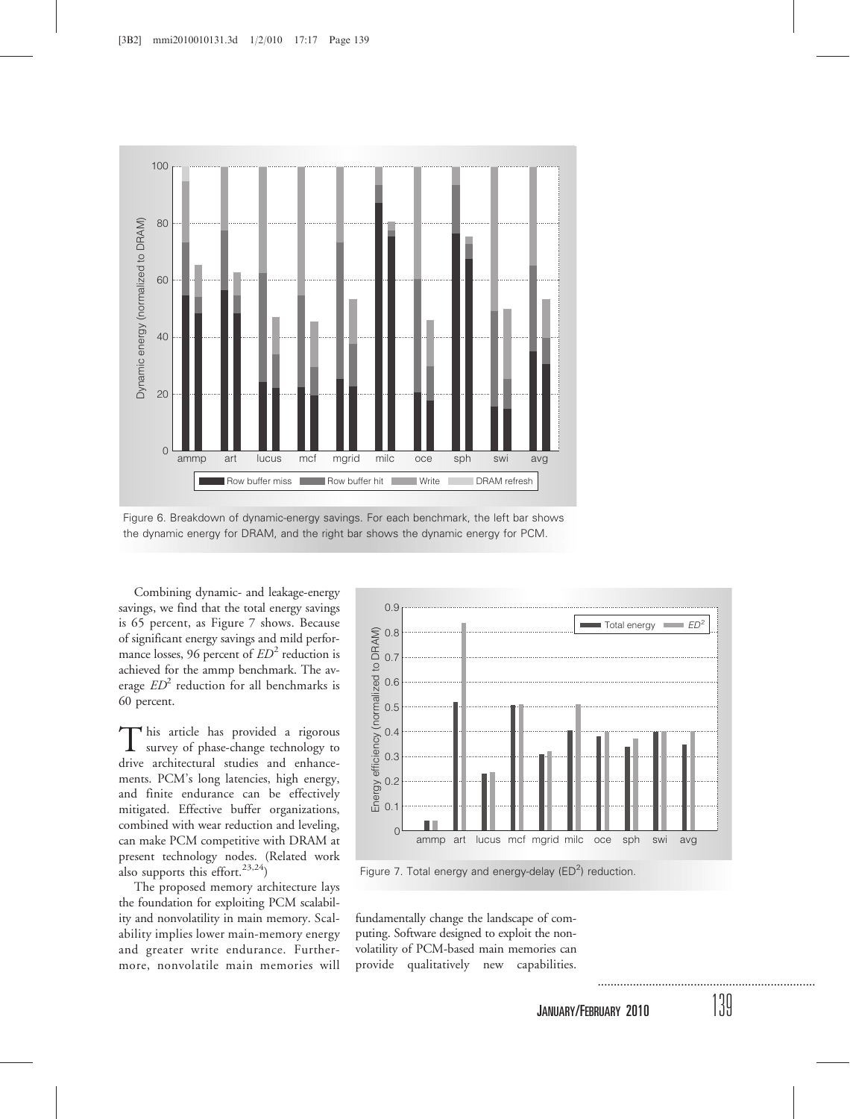

Figure 6. Breakdown of dynamic-energy savings. For each benchmark, the left bar shows the dynamic energy for DRAM, and the right bar shows the dynamic energy for PCM.

Combining dynamic- and leakage-energy savings, we find that the total energy savings is 65 percent, as Figure 7 shows. Because of significant energy savings and mild performance losses, 96 percent of  $ED<sup>2</sup>$  reduction is achieved for the ammp benchmark. The average  $ED^2$  reduction for all benchmarks is 60 percent.

This article has provided a rigorous survey of phase-change technology to drive architectural studies and enhancements. PCM's long latencies, high energy, and finite endurance can be effectively mitigated. Effective buffer organizations, combined with wear reduction and leveling, can make PCM competitive with DRAM at present technology nodes. (Related work also supports this effort.<sup>23,24</sup>)

The proposed memory architecture lays the foundation for exploiting PCM scalability and nonvolatility in main memory. Scalability implies lower main-memory energy and greater write endurance. Furthermore, nonvolatile main memories will



Figure 7. Total energy and energy-delay ( $ED<sup>2</sup>$ ) reduction.

fundamentally change the landscape of computing. Software designed to exploit the nonvolatility of PCM-based main memories can provide qualitatively new capabilities.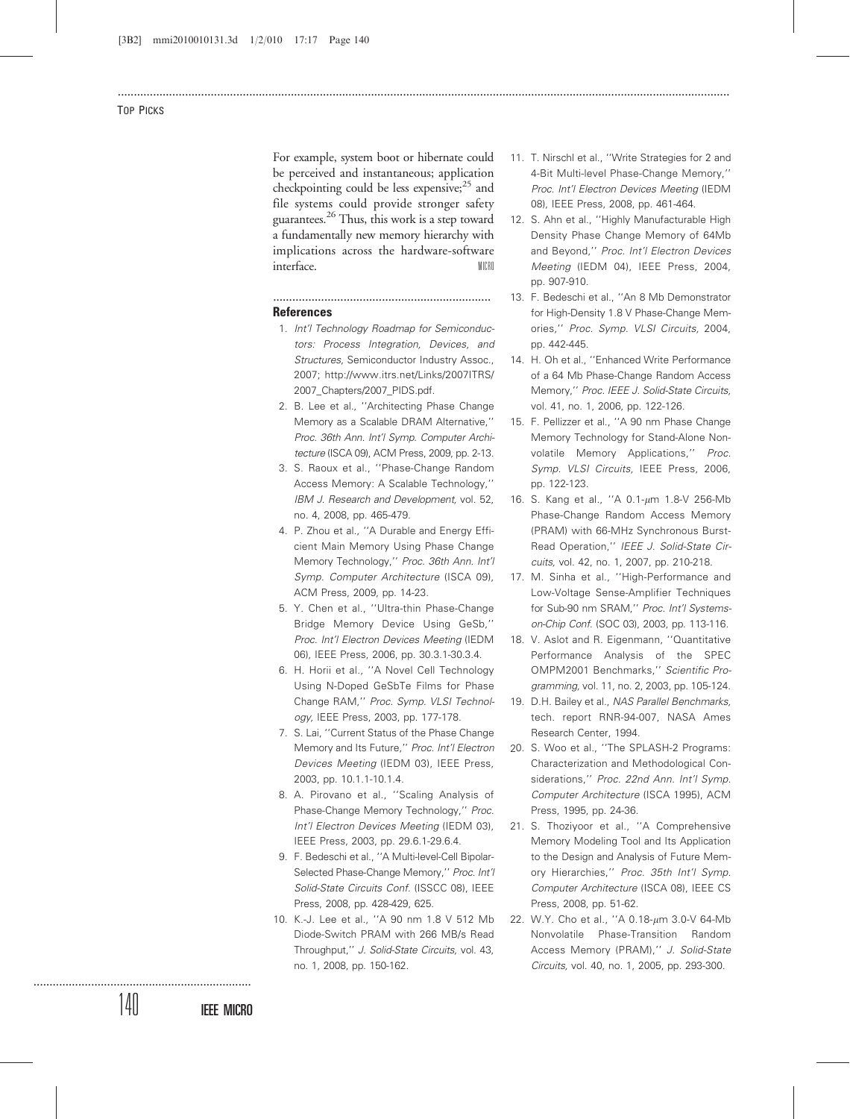For example, system boot or hibernate could be perceived and instantaneous; application checkpointing could be less expensive; $^{25}$  and file systems could provide stronger safety guarantees.26 Thus, this work is a step toward a fundamentally new memory hierarchy with implications across the hardware-software interface. MICRO

...............................................................................................................................................................................................

# ....................................................................

- **References**
- 1. Int'l Technology Roadmap for Semiconductors: Process Integration, Devices, and Structures, Semiconductor Industry Assoc., 2007; http://www.itrs.net/Links/2007ITRS/ 2007 Chapters/2007 PIDS.pdf.
- 2. B. Lee et al., ''Architecting Phase Change Memory as a Scalable DRAM Alternative,'' Proc. 36th Ann. Int'l Symp. Computer Architecture (ISCA 09), ACM Press, 2009, pp. 2-13.
- 3. S. Raoux et al., ''Phase-Change Random Access Memory: A Scalable Technology,'' IBM J. Research and Development, vol. 52, no. 4, 2008, pp. 465-479.
- 4. P. Zhou et al., ''A Durable and Energy Efficient Main Memory Using Phase Change Memory Technology,'' Proc. 36th Ann. Int'l Symp. Computer Architecture (ISCA 09), ACM Press, 2009, pp. 14-23.
- 5. Y. Chen et al., ''Ultra-thin Phase-Change Bridge Memory Device Using GeSb,'' Proc. Int'l Electron Devices Meeting (IEDM 06), IEEE Press, 2006, pp. 30.3.1-30.3.4.
- 6. H. Horii et al., ''A Novel Cell Technology Using N-Doped GeSbTe Films for Phase Change RAM,'' Proc. Symp. VLSI Technology, IEEE Press, 2003, pp. 177-178.
- 7. S. Lai, ''Current Status of the Phase Change Memory and Its Future,'' Proc. Int'l Electron Devices Meeting (IEDM 03), IEEE Press, 2003, pp. 10.1.1-10.1.4.
- 8. A. Pirovano et al., ''Scaling Analysis of Phase-Change Memory Technology,'' Proc. Int'l Electron Devices Meeting (IEDM 03), IEEE Press, 2003, pp. 29.6.1-29.6.4.
- 9. F. Bedeschi et al., ''A Multi-level-Cell Bipolar-Selected Phase-Change Memory,'' Proc. Int'l Solid-State Circuits Conf. (ISSCC 08), IEEE Press, 2008, pp. 428-429, 625.
- 10. K.-J. Lee et al., ''A 90 nm 1.8 V 512 Mb Diode-Switch PRAM with 266 MB/s Read Throughput,'' J. Solid-State Circuits, vol. 43, no. 1, 2008, pp. 150-162.
- 11. T. Nirschl et al., ''Write Strategies for 2 and 4-Bit Multi-level Phase-Change Memory,'' Proc. Int'l Electron Devices Meeting (IEDM 08), IEEE Press, 2008, pp. 461-464.
- 12. S. Ahn et al., ''Highly Manufacturable High Density Phase Change Memory of 64Mb and Beyond," Proc. Int'l Electron Devices Meeting (IEDM 04), IEEE Press, 2004, pp. 907-910.
- 13. F. Bedeschi et al., ''An 8 Mb Demonstrator for High-Density 1.8 V Phase-Change Memories,'' Proc. Symp. VLSI Circuits, 2004, pp. 442-445.
- 14. H. Oh et al., ''Enhanced Write Performance of a 64 Mb Phase-Change Random Access Memory,'' Proc. IEEE J. Solid-State Circuits, vol. 41, no. 1, 2006, pp. 122-126.
- 15. F. Pellizzer et al., ''A 90 nm Phase Change Memory Technology for Stand-Alone Nonvolatile Memory Applications,'' Proc. Symp. VLSI Circuits, IEEE Press, 2006, pp. 122-123.
- 16. S. Kang et al., "A 0.1-µm 1.8-V 256-Mb Phase-Change Random Access Memory (PRAM) with 66-MHz Synchronous Burst-Read Operation,'' IEEE J. Solid-State Circuits, vol. 42, no. 1, 2007, pp. 210-218.
- 17. M. Sinha et al., ''High-Performance and Low-Voltage Sense-Amplifier Techniques for Sub-90 nm SRAM,'' Proc. Int'l Systemson-Chip Conf. (SOC 03), 2003, pp. 113-116.
- 18. V. Aslot and R. Eigenmann, ''Quantitative Performance Analysis of the SPEC OMPM2001 Benchmarks,'' Scientific Programming, vol. 11, no. 2, 2003, pp. 105-124.
- 19. D.H. Bailey et al., NAS Parallel Benchmarks, tech. report RNR-94-007, NASA Ames Research Center, 1994.
- 20. S. Woo et al., ''The SPLASH-2 Programs: Characterization and Methodological Considerations," Proc. 22nd Ann. Int'l Symp. Computer Architecture (ISCA 1995), ACM Press, 1995, pp. 24-36.
- 21. S. Thoziyoor et al., ''A Comprehensive Memory Modeling Tool and Its Application to the Design and Analysis of Future Memory Hierarchies,'' Proc. 35th Int'l Symp. Computer Architecture (ISCA 08), IEEE CS Press, 2008, pp. 51-62.
- 22. W.Y. Cho et al., "A 0.18-um 3.0-V 64-Mb Nonvolatile Phase-Transition Random Access Memory (PRAM),'' J. Solid-State Circuits, vol. 40, no. 1, 2005, pp. 293-300.